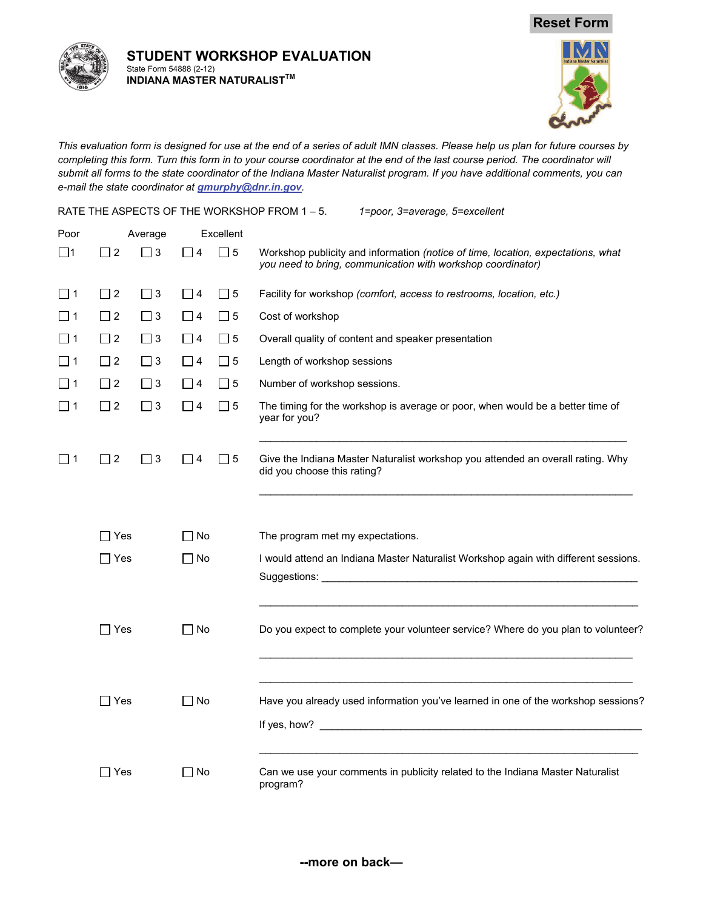**Reset Form**



**STUDENT WORKSHOP EVALUATION** State Form 54888 (2-12) **INDIANA MASTER NATURALISTTM**



*This evaluation form is designed for use at the end of a series of adult IMN classes. Please help us plan for future courses by completing this form. Turn this form in to your course coordinator at the end of the last course period. The coordinator will submit all forms to the state coordinator of the Indiana Master Naturalist program. If you have additional comments, you can e-mail the state coordinator at gmurphy@dnr.in.gov.* 

RATE THE ASPECTS OF THE WORKSHOP FROM 1 – 5. *1=poor, 3=average, 5=excellent*  Poor Average Excellent 1 2 3 4 5 Workshop publicity and information *(notice of time, location, expectations, what you need to bring, communication with workshop coordinator)*  1 2 3 4 5 Facility for workshop *(comfort, access to restrooms, location, etc.)*   $\Box$ 1  $\Box$ 2  $\Box$ 3  $\Box$ 4  $\Box$ 5 Cost of workshop  $\Box$  1  $\Box$  2  $\Box$  3  $\Box$  4  $\Box$  5 Overall quality of content and speaker presentation  $\Box$  1  $\Box$  2  $\Box$  3  $\Box$  4  $\Box$  5 Length of workshop sessions  $\Box$ 1  $\Box$ 2  $\Box$ 3  $\Box$ 4  $\Box$ 5 Number of workshop sessions.  $\Box$ 1  $\Box$ 2  $\Box$ 3  $\Box$ 4  $\Box$ 5 The timing for the workshop is average or poor, when would be a better time of year for you?  $\mathcal{L}_\mathcal{L} = \mathcal{L}_\mathcal{L} = \mathcal{L}_\mathcal{L} = \mathcal{L}_\mathcal{L} = \mathcal{L}_\mathcal{L} = \mathcal{L}_\mathcal{L} = \mathcal{L}_\mathcal{L} = \mathcal{L}_\mathcal{L} = \mathcal{L}_\mathcal{L} = \mathcal{L}_\mathcal{L} = \mathcal{L}_\mathcal{L} = \mathcal{L}_\mathcal{L} = \mathcal{L}_\mathcal{L} = \mathcal{L}_\mathcal{L} = \mathcal{L}_\mathcal{L} = \mathcal{L}_\mathcal{L} = \mathcal{L}_\mathcal{L}$ □1 □2 □3 □4 □5 Give the Indiana Master Naturalist workshop you attended an overall rating. Why did you choose this rating? \_\_\_\_\_\_\_\_\_\_\_\_\_\_\_\_\_\_\_\_\_\_\_\_\_\_\_\_\_\_\_\_\_\_\_\_\_\_\_\_\_\_\_\_\_\_\_\_\_\_\_\_\_\_\_\_\_\_\_\_\_\_\_\_\_  $\Box$  Yes  $\Box$  No The program met my expectations.  $\Box$  Yes  $\Box$  No I would attend an Indiana Master Naturalist Workshop again with different sessions. Suggestions:  $\mathcal{L}_\mathcal{L} = \mathcal{L}_\mathcal{L} = \mathcal{L}_\mathcal{L} = \mathcal{L}_\mathcal{L} = \mathcal{L}_\mathcal{L} = \mathcal{L}_\mathcal{L} = \mathcal{L}_\mathcal{L} = \mathcal{L}_\mathcal{L} = \mathcal{L}_\mathcal{L} = \mathcal{L}_\mathcal{L} = \mathcal{L}_\mathcal{L} = \mathcal{L}_\mathcal{L} = \mathcal{L}_\mathcal{L} = \mathcal{L}_\mathcal{L} = \mathcal{L}_\mathcal{L} = \mathcal{L}_\mathcal{L} = \mathcal{L}_\mathcal{L}$  $\Box$  Yes  $\Box$  No Do you expect to complete your volunteer service? Where do you plan to volunteer? \_\_\_\_\_\_\_\_\_\_\_\_\_\_\_\_\_\_\_\_\_\_\_\_\_\_\_\_\_\_\_\_\_\_\_\_\_\_\_\_\_\_\_\_\_\_\_\_\_\_\_\_\_\_\_\_\_\_\_\_\_\_\_\_\_ \_\_\_\_\_\_\_\_\_\_\_\_\_\_\_\_\_\_\_\_\_\_\_\_\_\_\_\_\_\_\_\_\_\_\_\_\_\_\_\_\_\_\_\_\_\_\_\_\_\_\_\_\_\_\_\_\_\_\_\_\_\_\_\_\_  $\Box$  Yes  $\Box$  No Have you already used information you've learned in one of the workshop sessions? If yes, how?  $\mathcal{L}_\mathcal{L} = \mathcal{L}_\mathcal{L} = \mathcal{L}_\mathcal{L} = \mathcal{L}_\mathcal{L} = \mathcal{L}_\mathcal{L} = \mathcal{L}_\mathcal{L} = \mathcal{L}_\mathcal{L} = \mathcal{L}_\mathcal{L} = \mathcal{L}_\mathcal{L} = \mathcal{L}_\mathcal{L} = \mathcal{L}_\mathcal{L} = \mathcal{L}_\mathcal{L} = \mathcal{L}_\mathcal{L} = \mathcal{L}_\mathcal{L} = \mathcal{L}_\mathcal{L} = \mathcal{L}_\mathcal{L} = \mathcal{L}_\mathcal{L}$  $\Box$  Yes  $\Box$  No Can we use your comments in publicity related to the Indiana Master Naturalist program?